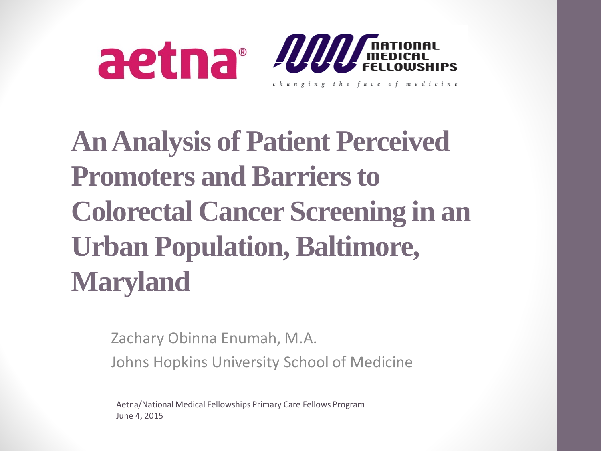



#### **An Analysis of Patient Perceived Promoters and Barriers to Colorectal Cancer Screening in an Urban Population, Baltimore, Maryland**

Zachary Obinna Enumah, M.A.

Johns Hopkins University School of Medicine

Aetna/National Medical Fellowships Primary Care Fellows Program June 4, 2015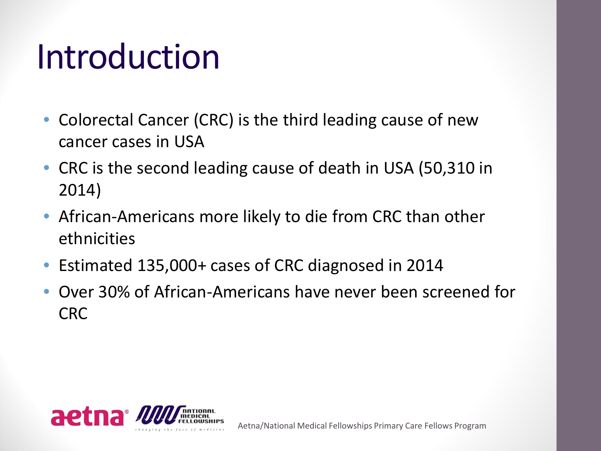### Introduction

- Colorectal Cancer (CRC) is the third leading cause of new cancer cases in USA
- CRC is the second leading cause of death in USA (50,310 in 2014)
- African-Americans more likely to die from CRC than other ethnicities
- Estimated 135,000+ cases of CRC diagnosed in 2014
- Over 30% of African-Americans have never been screened for CRC

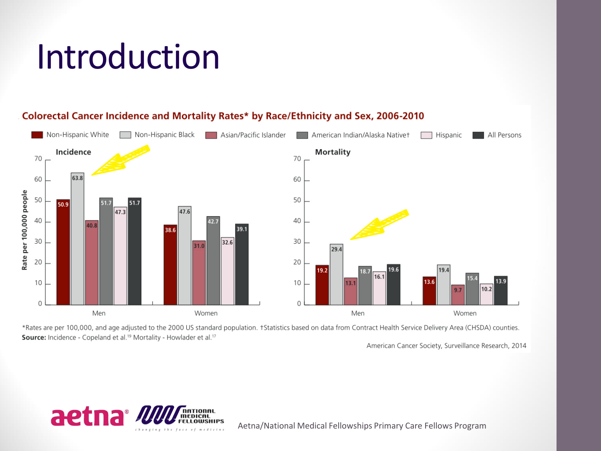## Introduction



#### Colorectal Cancer Incidence and Mortality Rates\* by Race/Ethnicity and Sex, 2006-2010

\*Rates are per 100,000, and age adjusted to the 2000 US standard population. †Statistics based on data from Contract Health Service Delivery Area (CHSDA) counties. Source: Incidence - Copeland et al.<sup>19</sup> Mortality - Howlader et al.<sup>17</sup>

American Cancer Society, Surveillance Research, 2014



Aetna/National Medical Fellowships Primary Care Fellows Program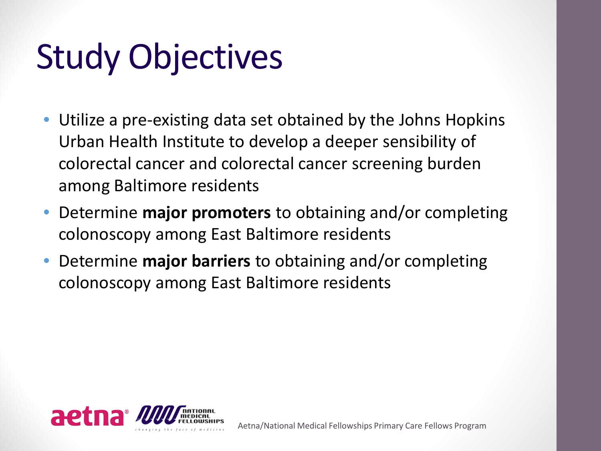## Study Objectives

- Utilize a pre-existing data set obtained by the Johns Hopkins Urban Health Institute to develop a deeper sensibility of colorectal cancer and colorectal cancer screening burden among Baltimore residents
- Determine **major promoters** to obtaining and/or completing colonoscopy among East Baltimore residents
- Determine **major barriers** to obtaining and/or completing colonoscopy among East Baltimore residents

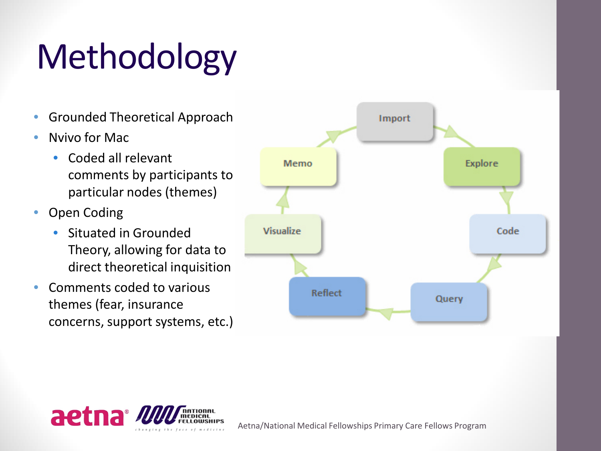## Methodology

- Grounded Theoretical Approach
- Nvivo for Mac
	- Coded all relevant comments by participants to particular nodes (themes)
- Open Coding
	- Situated in Grounded Theory, allowing for data to direct theoretical inquisition
- Comments coded to various themes (fear, insurance concerns, support systems, etc.)





Aetna/National Medical Fellowships Primary Care Fellows Program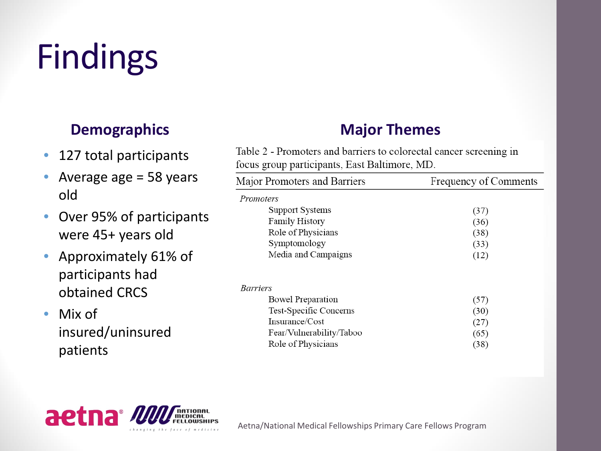# Findings

#### **Demographics**

- 127 total participants
- Average age = 58 years old
- Over 95% of participants were 45+ years old
- Approximately 61% of participants had obtained CRCS
- Mix of insured/uninsured patients

#### **Major Themes**

Table 2 - Promoters and barriers to colorectal cancer screening in focus group participants, East Baltimore, MD.

| Major Promoters and Barriers | <b>Frequency of Comments</b> |
|------------------------------|------------------------------|
| <i>Promoters</i>             |                              |
| <b>Support Systems</b>       | (37)                         |
| <b>Family History</b>        | (36)                         |
| Role of Physicians           | (38)                         |
| Symptomology                 | (33)                         |
| Media and Campaigns          | (12)                         |
| <i>Barriers</i>              |                              |
| <b>Bowel Preparation</b>     | (57)                         |
| Test-Specific Concerns       | (30)                         |
| Insurance/Cost               | (27)                         |
| Fear/Vulnerability/Taboo     | (65)                         |
| Role of Physicians           | (38)                         |



Aetna/National Medical Fellowships Primary Care Fellows Program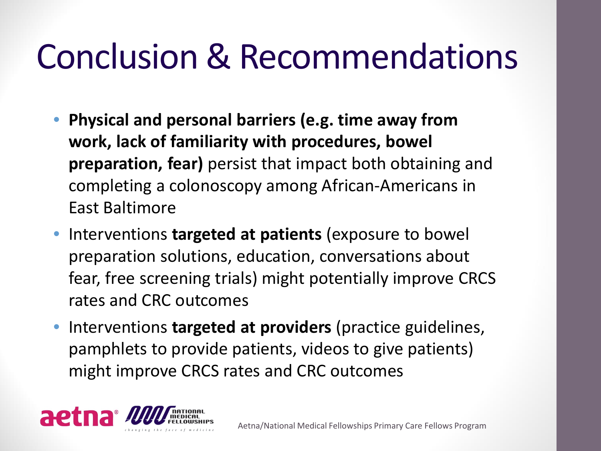### Conclusion & Recommendations

- **Physical and personal barriers (e.g. time away from work, lack of familiarity with procedures, bowel preparation, fear)** persist that impact both obtaining and completing a colonoscopy among African-Americans in East Baltimore
- Interventions **targeted at patients** (exposure to bowel preparation solutions, education, conversations about fear, free screening trials) might potentially improve CRCS rates and CRC outcomes
- Interventions **targeted at providers** (practice guidelines, pamphlets to provide patients, videos to give patients) might improve CRCS rates and CRC outcomes